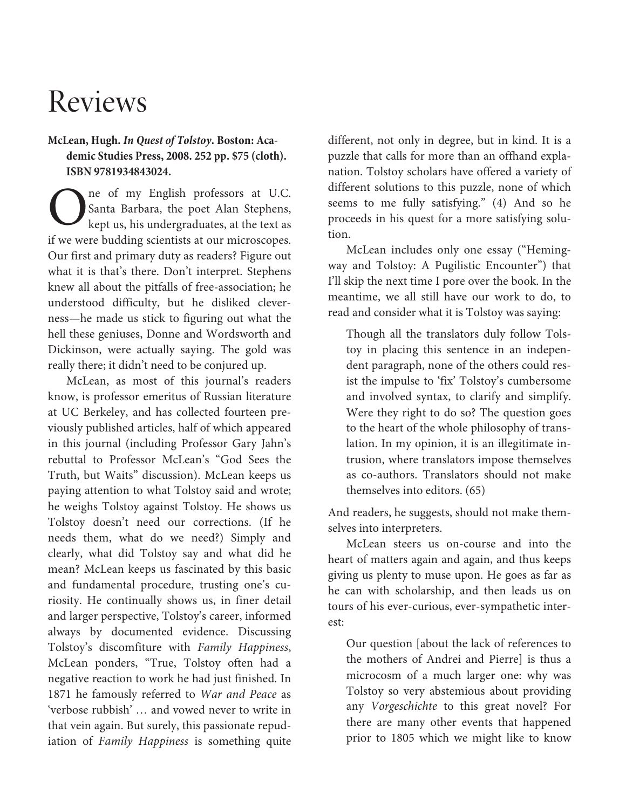## Reviews

## **McLean, Hugh. In Quest of Tolstoy. Boston: Academic Studies Press, 2008. 252 pp. \$75 (cloth). ISBN 9781934843024.**

ne of my English professors at U.C. Santa Barbara, the poet Alan Stephens, kept us, his undergraduates, at the text as if we were budding scientists at our microscopes. Our first and primary duty as readers? Figure out what it is that's there. Don't interpret. Stephens knew all about the pitfalls of free-association; he understood difficulty, but he disliked cleverness—he made us stick to figuring out what the hell these geniuses, Donne and Wordsworth and Dickinson, were actually saying. The gold was really there; it didn't need to be conjured up. O

McLean, as most of this journal's readers know, is professor emeritus of Russian literature at UC Berkeley, and has collected fourteen previously published articles, half of which appeared in this journal (including Professor Gary Jahn's rebuttal to Professor McLean's "God Sees the Truth, but Waits" discussion). McLean keeps us paying attention to what Tolstoy said and wrote; he weighs Tolstoy against Tolstoy. He shows us Tolstoy doesn't need our corrections. (If he needs them, what do we need?) Simply and clearly, what did Tolstoy say and what did he mean? McLean keeps us fascinated by this basic and fundamental procedure, trusting one's curiosity. He continually shows us, in finer detail and larger perspective, Tolstoy's career, informed always by documented evidence. Discussing Tolstoy's discomfiture with Family Happiness, McLean ponders, "True, Tolstoy often had a negative reaction to work he had just finished. In 1871 he famously referred to War and Peace as 'verbose rubbish' … and vowed never to write in that vein again. But surely, this passionate repudiation of Family Happiness is something quite

different, not only in degree, but in kind. It is a puzzle that calls for more than an offhand explanation. Tolstoy scholars have offered a variety of different solutions to this puzzle, none of which seems to me fully satisfying." (4) And so he proceeds in his quest for a more satisfying solution.

McLean includes only one essay ("Hemingway and Tolstoy: A Pugilistic Encounter") that I'll skip the next time I pore over the book. In the meantime, we all still have our work to do, to read and consider what it is Tolstoy was saying:

Though all the translators duly follow Tolstoy in placing this sentence in an independent paragraph, none of the others could resist the impulse to 'fix' Tolstoy's cumbersome and involved syntax, to clarify and simplify. Were they right to do so? The question goes to the heart of the whole philosophy of translation. In my opinion, it is an illegitimate intrusion, where translators impose themselves as co-authors. Translators should not make themselves into editors. (65)

And readers, he suggests, should not make themselves into interpreters.

McLean steers us on-course and into the heart of matters again and again, and thus keeps giving us plenty to muse upon. He goes as far as he can with scholarship, and then leads us on tours of his ever-curious, ever-sympathetic interest:

Our question [about the lack of references to the mothers of Andrei and Pierre] is thus a microcosm of a much larger one: why was Tolstoy so very abstemious about providing any Vorgeschichte to this great novel? For there are many other events that happened prior to 1805 which we might like to know